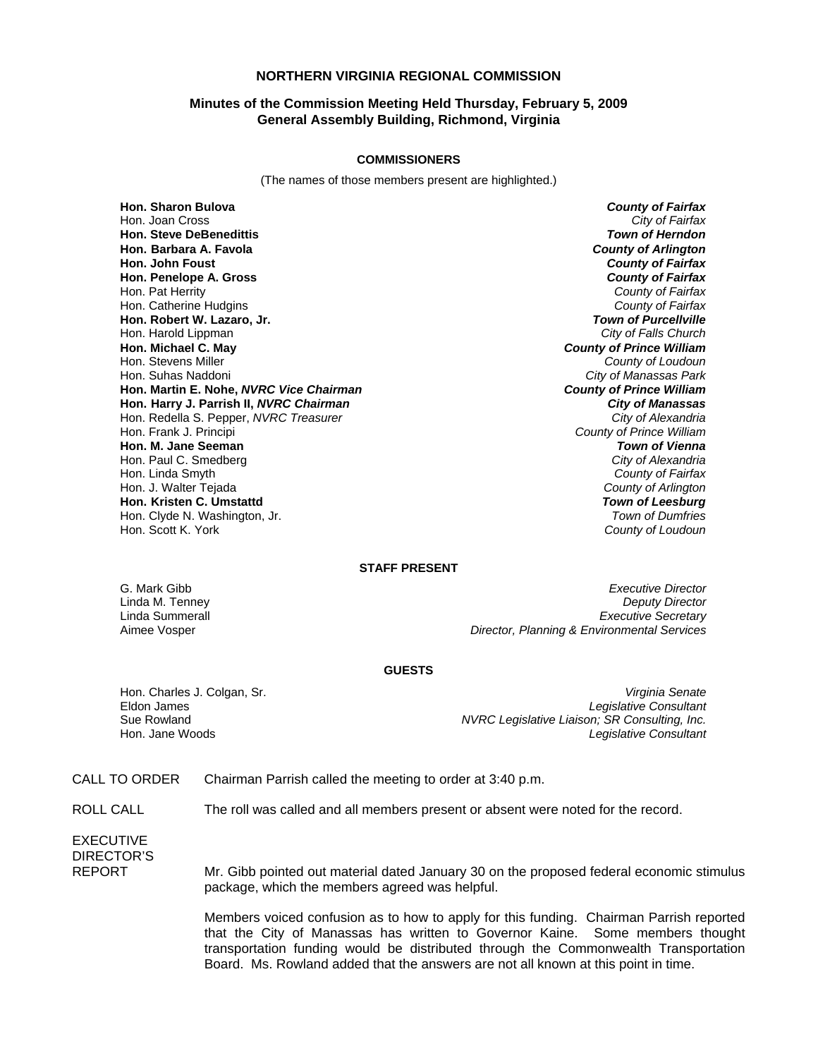# **NORTHERN VIRGINIA REGIONAL COMMISSION**

# **Minutes of the Commission Meeting Held Thursday, February 5, 2009 General Assembly Building, Richmond, Virginia**

#### **COMMISSIONERS**

(The names of those members present are highlighted.)

**Hon. Sharon Bulova** *County of Fairfax* **Hon. Steve DeBenedittis** *Town of Herndon* **Hon. Barbara A. Favola** *County of Arlington* **Hon. John Foust** *County of Fairfax* **Hon. Penelope A. Gross** *County of Fairfax* Hon. Pat Herrity *County of Fairfax* Hon. Catherine Hudgins *County of Fairfax* **Hon. Robert W. Lazaro, Jr.** *Town of Purcellville* Hon. Harold Lippman<br>**Hon. Michael C. May Hon. Michael C. May** *County of Prince William* Hon. Stevens Miller *County of Loudoun* **Hon. Martin E. Nohe,** *NVRC Vice Chairman* **Hon. Harry J. Parrish II,** *NVRC Chairman City of Manassas* Hon. Redella S. Pepper, *NVRC Treasurer*<br>Hon. Frank J. Principi **Hon. M. Jane Seeman** *Town of Vienna* Hon. Paul C. Smedberg *City of Alexandria* Hon. Linda Smyth *County of Fairfax* Hon. J. Walter Tejada *County of Arlington* **Hon. Kristen C. Umstattd** *Town of Leesburg* Hon. Clyde N. Washington, Jr.<br>Hon. Scott K. York

**City of Fairfax City of Manassas Park**<br>**County of Prince William County of Prince William County of Loudoun** 

### **STAFF PRESENT**

G. Mark Gibb *Executive Director* Linda M. Tenney *Deputy Director* Linda Summerall *Executive Secretary* Aimee Vosper *Director, Planning & Environmental Services*

#### **GUESTS**

Hon. Charles J. Colgan, Sr. *Virginia Senate* Eldon James *Legislative Consultant* Sue Rowland *NVRC Legislative Liaison; SR Consulting, Inc.* **Legislative Consultant** 

CALL TO ORDER Chairman Parrish called the meeting to order at 3:40 p.m.

ROLL CALL The roll was called and all members present or absent were noted for the record.

EXECUTIVE DIRECTOR'S

REPORT Mr. Gibb pointed out material dated January 30 on the proposed federal economic stimulus package, which the members agreed was helpful.

> Members voiced confusion as to how to apply for this funding. Chairman Parrish reported that the City of Manassas has written to Governor Kaine. Some members thought transportation funding would be distributed through the Commonwealth Transportation Board. Ms. Rowland added that the answers are not all known at this point in time.